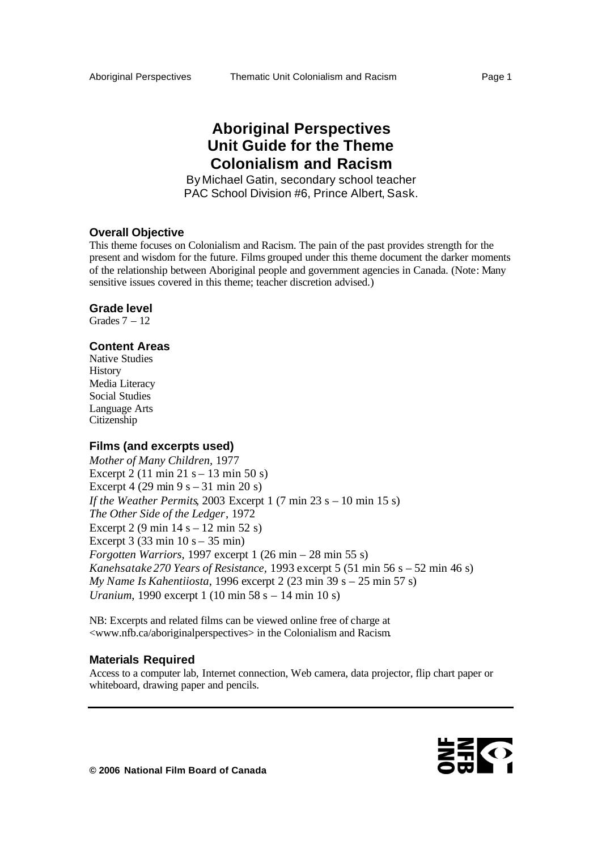# **Aboriginal Perspectives Unit Guide for the Theme Colonialism and Racism**

By Michael Gatin, secondary school teacher PAC School Division #6, Prince Albert, Sask.

# **Overall Objective**

This theme focuses on Colonialism and Racism. The pain of the past provides strength for the present and wisdom for the future. Films grouped under this theme document the darker moments of the relationship between Aboriginal people and government agencies in Canada. (Note: Many sensitive issues covered in this theme; teacher discretion advised.)

#### **Grade level**

Grades  $7 - 12$ 

### **Content Areas**

Native Studies **History** Media Literacy Social Studies Language Arts Citizenship

### **Films (and excerpts used)**

*Mother of Many Children,* 1977 Excerpt 2 (11 min 21 s – 13 min 50 s) Excerpt 4 (29 min 9 s – 31 min 20 s) *If the Weather Permits, 2003 Excerpt 1 (7 min 23 s – 10 min 15 s) The Other Side of the Ledger,* 1972 Excerpt 2 (9 min  $14 s - 12$  min  $52 s$ ) Excerpt 3 (33 min  $10 s - 35$  min) *Forgotten Warriors,* 1997 excerpt 1 (26 min – 28 min 55 s) *Kanehsatake 270 Years of Resistance,* 1993 excerpt 5 (51 min 56 s – 52 min 46 s) *My Name Is Kahentiiosta*, 1996 excerpt 2 (23 min 39 s – 25 min 57 s) *Uranium*, 1990 excerpt 1 (10 min 58 s – 14 min 10 s)

NB: Excerpts and related films can be viewed online free of charge at <www.nfb.ca/aboriginalperspectives> in the Colonialism and Racism.

#### **Materials Required**

Access to a computer lab, Internet connection, Web camera, data projector, flip chart paper or whiteboard, drawing paper and pencils.

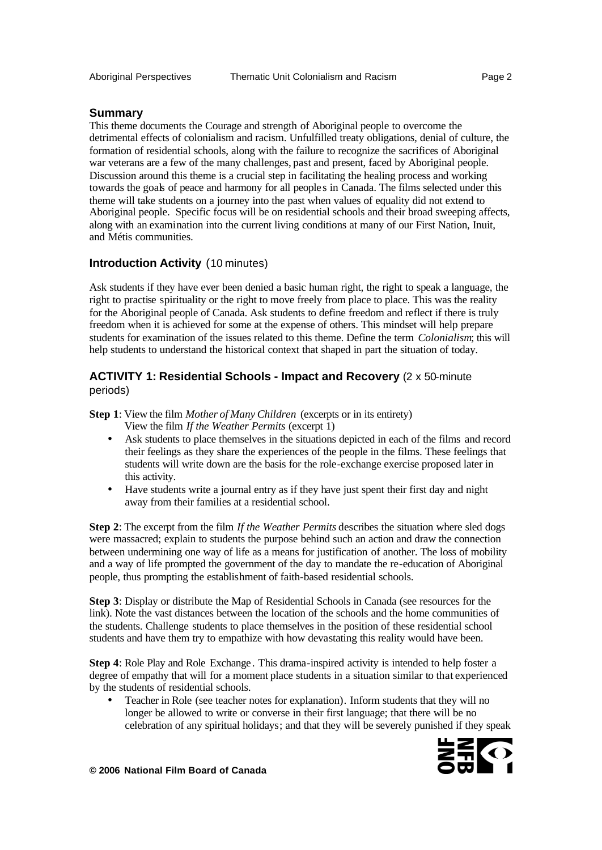# **Summary**

This theme documents the Courage and strength of Aboriginal people to overcome the detrimental effects of colonialism and racism. Unfulfilled treaty obligations, denial of culture, the formation of residential schools, along with the failure to recognize the sacrifices of Aboriginal war veterans are a few of the many challenges, past and present, faced by Aboriginal people. Discussion around this theme is a crucial step in facilitating the healing process and working towards the goals of peace and harmony for all people s in Canada. The films selected under this theme will take students on a journey into the past when values of equality did not extend to Aboriginal people. Specific focus will be on residential schools and their broad sweeping affects, along with an examination into the current living conditions at many of our First Nation, Inuit, and Métis communities.

# **Introduction Activity** (10 minutes)

Ask students if they have ever been denied a basic human right, the right to speak a language, the right to practise spirituality or the right to move freely from place to place. This was the reality for the Aboriginal people of Canada. Ask students to define freedom and reflect if there is truly freedom when it is achieved for some at the expense of others. This mindset will help prepare students for examination of the issues related to this theme. Define the term *Colonialism*; this will help students to understand the historical context that shaped in part the situation of today.

# **ACTIVITY 1: Residential Schools - Impact and Recovery** (2 x 50-minute periods)

**Step 1**: View the film *Mother of Many Children* (excerpts or in its entirety) View the film *If the Weather Permits* (excerpt 1)

- Ask students to place themselves in the situations depicted in each of the films and record their feelings as they share the experiences of the people in the films. These feelings that students will write down are the basis for the role-exchange exercise proposed later in this activity.
- Have students write a journal entry as if they have just spent their first day and night away from their families at a residential school.

**Step 2**: The excerpt from the film *If the Weather Permits* describes the situation where sled dogs were massacred; explain to students the purpose behind such an action and draw the connection between undermining one way of life as a means for justification of another. The loss of mobility and a way of life prompted the government of the day to mandate the re-education of Aboriginal people, thus prompting the establishment of faith-based residential schools.

**Step 3**: Display or distribute the Map of Residential Schools in Canada (see resources for the link). Note the vast distances between the location of the schools and the home communities of the students. Challenge students to place themselves in the position of these residential school students and have them try to empathize with how devastating this reality would have been.

**Step 4**: Role Play and Role Exchange. This drama-inspired activity is intended to help foster a degree of empathy that will for a moment place students in a situation similar to that experienced by the students of residential schools.

• Teacher in Role (see teacher notes for explanation). Inform students that they will no longer be allowed to write or converse in their first language; that there will be no celebration of any spiritual holidays; and that they will be severely punished if they speak

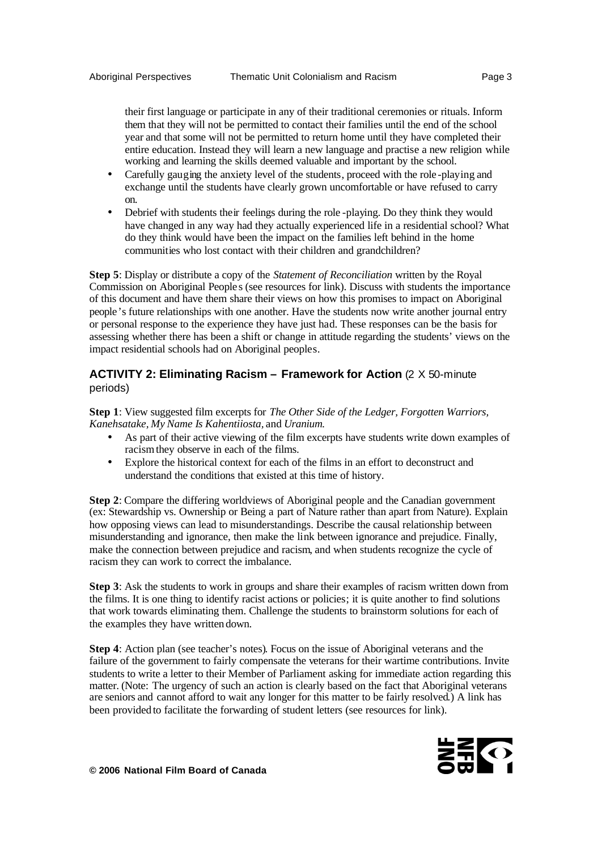their first language or participate in any of their traditional ceremonies or rituals. Inform them that they will not be permitted to contact their families until the end of the school year and that some will not be permitted to return home until they have completed their entire education. Instead they will learn a new language and practise a new religion while working and learning the skills deemed valuable and important by the school.

- Carefully gauging the anxiety level of the students, proceed with the role-playing and exchange until the students have clearly grown uncomfortable or have refused to carry on.
- Debrief with students their feelings during the role -playing. Do they think they would have changed in any way had they actually experienced life in a residential school? What do they think would have been the impact on the families left behind in the home communities who lost contact with their children and grandchildren?

**Step 5**: Display or distribute a copy of the *Statement of Reconciliation* written by the Royal Commission on Aboriginal People s (see resources for link). Discuss with students the importance of this document and have them share their views on how this promises to impact on Aboriginal people's future relationships with one another. Have the students now write another journal entry or personal response to the experience they have just had. These responses can be the basis for assessing whether there has been a shift or change in attitude regarding the students' views on the impact residential schools had on Aboriginal peoples.

# **ACTIVITY 2: Eliminating Racism – Framework for Action** (2 X 50-minute periods)

**Step 1**: View suggested film excerpts for *The Other Side of the Ledger, Forgotten Warriors, Kanehsatake, My Name Is Kahentiiosta,* and *Uranium.*

- As part of their active viewing of the film excerpts have students write down examples of racism they observe in each of the films.
- Explore the historical context for each of the films in an effort to deconstruct and understand the conditions that existed at this time of history.

**Step 2**: Compare the differing worldviews of Aboriginal people and the Canadian government (ex: Stewardship vs. Ownership or Being a part of Nature rather than apart from Nature). Explain how opposing views can lead to misunderstandings. Describe the causal relationship between misunderstanding and ignorance, then make the link between ignorance and prejudice. Finally, make the connection between prejudice and racism, and when students recognize the cycle of racism they can work to correct the imbalance.

**Step 3**: Ask the students to work in groups and share their examples of racism written down from the films. It is one thing to identify racist actions or policies; it is quite another to find solutions that work towards eliminating them. Challenge the students to brainstorm solutions for each of the examples they have written down.

**Step 4**: Action plan (see teacher's notes). Focus on the issue of Aboriginal veterans and the failure of the government to fairly compensate the veterans for their wartime contributions. Invite students to write a letter to their Member of Parliament asking for immediate action regarding this matter. (Note: The urgency of such an action is clearly based on the fact that Aboriginal veterans are seniors and cannot afford to wait any longer for this matter to be fairly resolved.) A link has been provided to facilitate the forwarding of student letters (see resources for link).

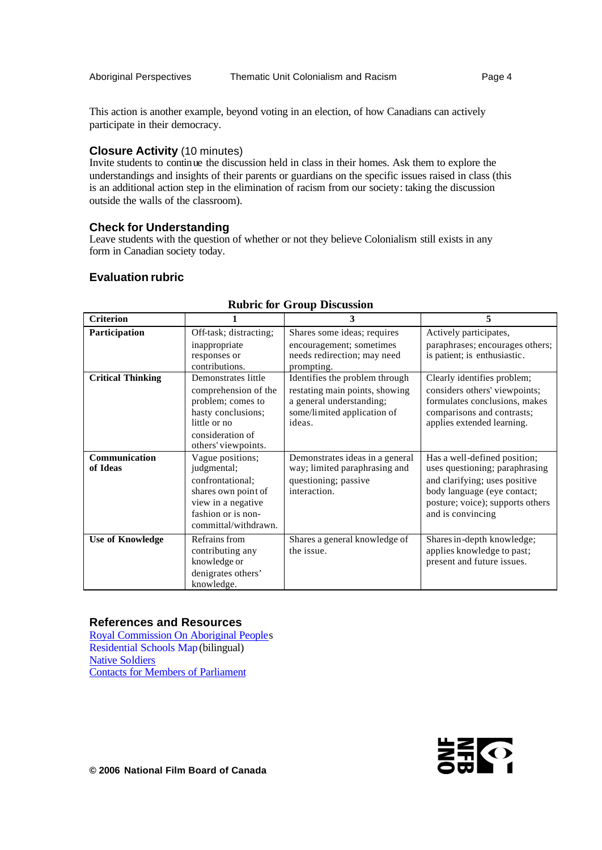This action is another example, beyond voting in an election, of how Canadians can actively participate in their democracy.

# **Closure Activity** (10 minutes)

Invite students to continue the discussion held in class in their homes. Ask them to explore the understandings and insights of their parents or guardians on the specific issues raised in class (this is an additional action step in the elimination of racism from our society: taking the discussion outside the walls of the classroom).

# **Check for Understanding**

Leave students with the question of whether or not they believe Colonialism still exists in any form in Canadian society today.

# **Evaluation rubric**

| <b>Criterion</b>          |                                                                                                                                                   | 3                                                                                                                                     | 5                                                                                                                                                                                       |
|---------------------------|---------------------------------------------------------------------------------------------------------------------------------------------------|---------------------------------------------------------------------------------------------------------------------------------------|-----------------------------------------------------------------------------------------------------------------------------------------------------------------------------------------|
| Participation             | Off-task; distracting;<br>inappropriate<br>responses or<br>contributions.                                                                         | Shares some ideas; requires<br>encouragement; sometimes<br>needs redirection; may need<br>prompting.                                  | Actively participates,<br>paraphrases; encourages others;<br>is patient; is enthusiastic.                                                                                               |
| <b>Critical Thinking</b>  | Demonstrates little<br>comprehension of the<br>problem; comes to<br>hasty conclusions;<br>little or no<br>consideration of<br>others' viewpoints. | Identifies the problem through<br>restating main points, showing<br>a general understanding;<br>some/limited application of<br>ideas. | Clearly identifies problem;<br>considers others' viewpoints;<br>formulates conclusions, makes<br>comparisons and contrasts;<br>applies extended learning.                               |
| Communication<br>of Ideas | Vague positions;<br>judgmental;<br>confrontational;<br>shares own point of<br>view in a negative<br>fashion or is non-<br>committal/withdrawn.    | Demonstrates ideas in a general<br>way; limited paraphrasing and<br>questioning; passive<br>interaction.                              | Has a well-defined position;<br>uses questioning; paraphrasing<br>and clarifying; uses positive<br>body language (eye contact;<br>posture; voice); supports others<br>and is convincing |
| <b>Use of Knowledge</b>   | Refrains from<br>contributing any<br>knowledge or<br>denigrates others'<br>knowledge.                                                             | Shares a general knowledge of<br>the issue.                                                                                           | Shares in-depth knowledge;<br>applies knowledge to past;<br>present and future issues.                                                                                                  |

# **Rubric for Group Discussion**

### **References and Resources**

Royal Commission On Aboriginal Peoples Residential Schools Map (bilingual) Native Soldiers Contacts for Members of Parliament